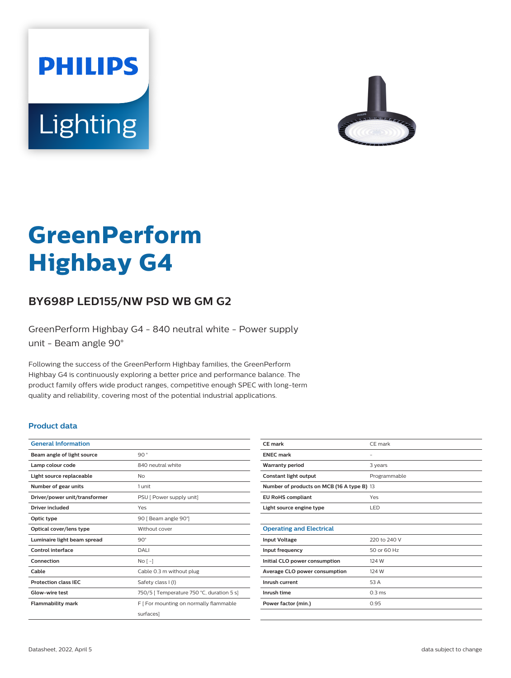



# **GreenPerform Highbay G4**

## **BY698P LED155/NW PSD WB GM G2**

GreenPerform Highbay G4 - 840 neutral white - Power supply unit - Beam angle 90°

Following the success of the GreenPerform Highbay families, the GreenPerform Highbay G4 is continuously exploring a better price and performance balance. The product family offers wide product ranges, competitive enough SPEC with long-term quality and reliability, covering most of the potential industrial applications.

#### **Product data**

| <b>General Information</b>    |                                           |
|-------------------------------|-------------------------------------------|
| Beam angle of light source    | 90°                                       |
| Lamp colour code              | 840 neutral white                         |
| Light source replaceable      | Nο                                        |
| Number of gear units          | 1 unit                                    |
| Driver/power unit/transformer | PSU [ Power supply unit]                  |
| Driver included               | Yes                                       |
| Optic type                    | 90 [ Beam angle 90°]                      |
| Optical cover/lens type       | Without cover                             |
| Luminaire light beam spread   | $90^\circ$                                |
| Control interface             | DALI                                      |
| Connection                    | No <sub>1</sub>                           |
| Cable                         | Cable 0.3 m without plug                  |
| <b>Protection class IEC</b>   | Safety class I (I)                        |
| Glow-wire test                | 750/5   Temperature 750 °C, duration 5 s] |
| <b>Flammability mark</b>      | F [ For mounting on normally flammable    |
|                               | surfaces]                                 |

| <b>CE</b> mark                             | CE mark          |  |
|--------------------------------------------|------------------|--|
| <b>ENEC mark</b>                           | ۰                |  |
| <b>Warranty period</b>                     | 3 years          |  |
| Constant light output                      | Programmable     |  |
| Number of products on MCB (16 A type B) 13 |                  |  |
| <b>EU RoHS compliant</b>                   | Yes              |  |
| Light source engine type                   | LED              |  |
|                                            |                  |  |
| <b>Operating and Electrical</b>            |                  |  |
| <b>Input Voltage</b>                       | 220 to 240 V     |  |
| Input frequency                            | 50 or 60 Hz      |  |
| Initial CLO power consumption              | 124 W            |  |
| Average CLO power consumption              | 124 W            |  |
| Inrush current                             | 53 A             |  |
| Inrush time                                | $0.3 \text{ ms}$ |  |
| Power factor (min.)                        | 0.95             |  |
|                                            |                  |  |